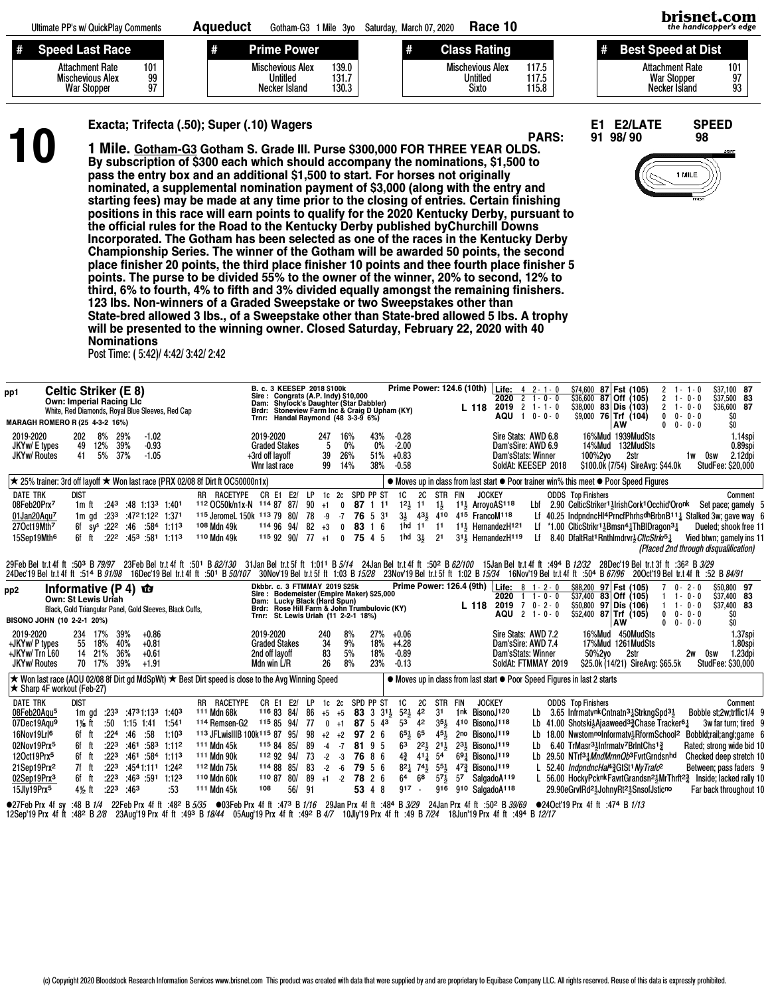|          | Ultimate PP's w/ QuickPlay Comments                                                        | Aaueduct | Gotham-G3 1 Mile 3vo                                                            | Saturdav. March 07. 2020 | Race 10                                             |                         | brisnet.com<br>the handicabber's edge                         |                 |  |
|----------|--------------------------------------------------------------------------------------------|----------|---------------------------------------------------------------------------------|--------------------------|-----------------------------------------------------|-------------------------|---------------------------------------------------------------|-----------------|--|
| <b>#</b> | <b>Speed Last Race</b>                                                                     | #        | <b>Prime Power</b>                                                              |                          | <b>Class Rating</b>                                 |                         | Best Speed at Dist                                            |                 |  |
|          | 101<br><b>Attachment Rate</b><br>99<br><b>Mischevious Alex</b><br>97<br><b>War Stopper</b> |          | 139.0<br><b>Mischevious Alex</b><br>Untitled<br>131.7<br>130.3<br>Necker Island |                          | <b>Mischevious Alex</b><br>Untitled<br><b>Sixto</b> | 117.5<br>117.5<br>115.8 | <b>Attachment Rate</b><br><b>War Stopper</b><br>Necker Island | 101<br>97<br>93 |  |

PARS: 91 98/ 90 98

Exacta; Trifecta (.50); Super (.10) Wagers<br>
10 The Exacta: Trifecta (.50); Super (.10) Wagers<br>
10 The Exacta: Gotham-G3 Gotham S. Grade III. Purse \$300,000 FOR THREE YEAR OLDS.<br>
By subscription of \$300 each which should ac 1 Mile. Gotham-G3 Gotham S. Grade III. Purse \$300,000 FOR THREE YEAR OLDS. By subscription of \$300 each which should accompany the nominations, \$1,500 to pass the entry box and an additional \$1,500 to start. For horses not originally nominated, a supplemental nomination payment of \$3,000 (along with the entry and starting fees) may be made at any time prior to the closing of entries. Certain finishing positions in this race will earn points to qualify for the 2020 Kentucky Derby, pursuant to the official rules for the Road to the Kentucky Derby published byChurchill Downs Incorporated. The Gotham has been selected as one of the races in the Kentucky Derby Championship Series. The winner of the Gotham will be awarded 50 points, the second place finisher 20 points, the third place finisher 10 points and thee fourth place finisher 5 points. The purse to be divided 55% to the owner of the winner, 20% to second, 12% to third, 6% to fourth, 4% to fifth and 3% divided equally amongst the remaining finishers. 123 lbs. Non-winners of a Graded Sweepstake or two Sweepstakes other than State-bred allowed 3 lbs., of a Sweepstake other than State-bred allowed 5 lbs. A trophy will be presented to the winning owner. Closed Saturday, February 22, 2020 with 40 Nominations

Post Time: ( 5:42)/ 4:42/ 3:42/ 2:42

| pp1                                                                                                                                                                                                                         | <b>Celtic Striker (E 8)</b><br>Own: Imperial Racing Llc                       |                                                                                                      |                                                                   |                                                                                          |                                                                                                                                                 | White, Red Diamonds, Royal Blue Sleeves, Red Cap         |                                                                                                                                                                                                                                                                                               | Dam:<br>Brdr:                                 | B. c. 3 KEESEP 2018 \$100k<br>Sire: Congrats (A.P. Indy) \$10,000<br><b>Shylock's Daughter (Star Dabbler)</b><br>Stoneview Farm Inc & Craig D Upham (KY)                                           |                                                    |                                                                                                     |                                                      |                                                                                  |                          |                                                                               |                                             |                                                                                                                                |                                 | $L$ 118                                                                                                                                                         | Prime Power: 124.6 (10th) Life: 4 2-1-0<br>$2020 \t2 \t1 - 0 - 0$<br>$2019$ 2 1 - 1 - 0<br>AQU 1 0-0-0                            |                 | \$74,600<br>\$38.000                                                      |         | 87 Fst (105)<br>$$36,600$ 87 Off (105)<br>83 Dis (103)<br>$$9.000$ 76 Trf $(104)$                                                                                                                                                                                                                                                                                                                                                                               | 0            | $2 \t1 - 1 - 0$<br>$2 + 0 - 0$<br>$2 + 0 - 0$<br>$0 - 0 - 0$                         | \$37,100 87<br>\$37,500 83<br>\$36,600 87<br>\$O                                                                                                                                                                                                                                                                                                    |                               |
|-----------------------------------------------------------------------------------------------------------------------------------------------------------------------------------------------------------------------------|-------------------------------------------------------------------------------|------------------------------------------------------------------------------------------------------|-------------------------------------------------------------------|------------------------------------------------------------------------------------------|-------------------------------------------------------------------------------------------------------------------------------------------------|----------------------------------------------------------|-----------------------------------------------------------------------------------------------------------------------------------------------------------------------------------------------------------------------------------------------------------------------------------------------|-----------------------------------------------|----------------------------------------------------------------------------------------------------------------------------------------------------------------------------------------------------|----------------------------------------------------|-----------------------------------------------------------------------------------------------------|------------------------------------------------------|----------------------------------------------------------------------------------|--------------------------|-------------------------------------------------------------------------------|---------------------------------------------|--------------------------------------------------------------------------------------------------------------------------------|---------------------------------|-----------------------------------------------------------------------------------------------------------------------------------------------------------------|-----------------------------------------------------------------------------------------------------------------------------------|-----------------|---------------------------------------------------------------------------|---------|-----------------------------------------------------------------------------------------------------------------------------------------------------------------------------------------------------------------------------------------------------------------------------------------------------------------------------------------------------------------------------------------------------------------------------------------------------------------|--------------|--------------------------------------------------------------------------------------|-----------------------------------------------------------------------------------------------------------------------------------------------------------------------------------------------------------------------------------------------------------------------------------------------------------------------------------------------------|-------------------------------|
|                                                                                                                                                                                                                             | MARAGH ROMERO R (25 4-3-2 16%)                                                |                                                                                                      |                                                                   |                                                                                          |                                                                                                                                                 |                                                          |                                                                                                                                                                                                                                                                                               | Trnr:                                         | Handal Raymond (48 3-3-9 6%)                                                                                                                                                                       |                                                    |                                                                                                     |                                                      |                                                                                  |                          |                                                                               |                                             |                                                                                                                                |                                 |                                                                                                                                                                 |                                                                                                                                   |                 |                                                                           |         | AW                                                                                                                                                                                                                                                                                                                                                                                                                                                              |              | $0 \t 0 - 0 - 0$                                                                     | \$O                                                                                                                                                                                                                                                                                                                                                 |                               |
| 2019-2020<br>JKYw/ E types<br><b>JKYw/ Routes</b>                                                                                                                                                                           |                                                                               | 202<br>49<br>41                                                                                      | 8%<br>12%<br>5%                                                   | 29%<br>39%<br>37%                                                                        | $-1.02$<br>$-0.93$<br>$-1.05$                                                                                                                   |                                                          |                                                                                                                                                                                                                                                                                               | 2019-2020<br>+3rd off layoff<br>Wnr last race | <b>Graded Stakes</b>                                                                                                                                                                               |                                                    | 247<br>5<br>39<br>99                                                                                | 16%<br>0%<br>26%<br>14%                              |                                                                                  | 43%<br>0%<br>51%<br>38%  | $-0.28$<br>$-2.00$<br>$+0.83$<br>$-0.58$                                      |                                             |                                                                                                                                |                                 |                                                                                                                                                                 | Sire Stats: AWD 6.8<br>Dam'sSire: AWD 6.9<br>Dam'sStats: Winner<br>SoldAt: KEESEP 2018                                            |                 |                                                                           | 100%2yo | 16%Mud 1939MudSts<br>14%Mud 132MudSts<br>2str<br>\$100.0k (7/54) SireAvg: \$44.0k                                                                                                                                                                                                                                                                                                                                                                               |              | 1w                                                                                   | 0sw<br><b>StudFee: \$20,000</b>                                                                                                                                                                                                                                                                                                                     | 1.14spi<br>0.89spi<br>2.12dpi |
|                                                                                                                                                                                                                             |                                                                               |                                                                                                      |                                                                   |                                                                                          |                                                                                                                                                 |                                                          | $\star$ 25% trainer: 3rd off layoff $\star$ Won last race (PRX 02/08 8f Dirt ft OC50000n1x)                                                                                                                                                                                                   |                                               |                                                                                                                                                                                                    |                                                    |                                                                                                     |                                                      |                                                                                  |                          |                                                                               |                                             |                                                                                                                                |                                 |                                                                                                                                                                 |                                                                                                                                   |                 |                                                                           |         | • Moves up in class from last start • Poor trainer win% this meet • Poor Speed Figures                                                                                                                                                                                                                                                                                                                                                                          |              |                                                                                      |                                                                                                                                                                                                                                                                                                                                                     |                               |
| <b>DATE TRK</b><br>08Feb20Prx7<br>01Jan20Aqu <sup>7</sup><br>27Oct19Mth <sup>7</sup><br>15Sep19Mth <sup>6</sup>                                                                                                             |                                                                               | <b>DIST</b><br>$1m$ ft<br>6f ft                                                                      | 1m $qd$ :23 <sup>3</sup><br>$6f$ sv <sup>s</sup> :22 <sup>2</sup> | .24 <sup>3</sup><br>:22 <sup>2</sup>                                                     | $:48$ 1:13 <sup>3</sup> 1:401<br>:4721:122 1:371<br>$:46$ $:584$ 1:113<br>$:45^3:58^1:11^3$                                                     |                                                          | RR RACETYPE<br>112 OC50k/n1x-N 114 87 87/<br>115 JeromeL 150k 113 79 80/<br>108 Mdn 49k<br>110 Mdn 49k                                                                                                                                                                                        | CR E1                                         | E2/<br>114 96 94/<br>115 92 90/ 77                                                                                                                                                                 | <b>LP</b><br>90<br>78<br>82                        | 1c<br>$+1$<br>-9<br>$+3$<br>$+1$                                                                    | 2c<br>$\bf{0}$<br>$-7$<br>$\mathbf 0$<br>$\mathbf 0$ | SPD PP ST<br>87 1 11<br>76 5 31<br>83 1 6<br>75 4 5                              |                          | 1C<br>$12\frac{1}{2}$<br>$3\frac{1}{2}$<br>1 hd<br>1hd                        | 2C<br>11<br>$11 \quad 11$<br>$3\frac{1}{2}$ | STR FIN<br>$1\frac{1}{2}$<br>$43\frac{1}{2}$ 410<br>2 <sup>1</sup>                                                             |                                 | <b>JOCKEY</b><br>415 FrancoM118                                                                                                                                 | 1 <sup>1</sup> <sup>3</sup> ArroyoAS <sup>118</sup><br>11} HernandezH121<br>3 <sup>1</sup> <sup>3</sup> HernandezH <sup>119</sup> |                 | <b>ODDS</b> Top Finishers                                                 |         | Lbf 2.90 CelticStriker11 lrishCork1 Occhid'Oronk<br>Lf *1.00 ClticStrikr <sup>1</sup> <sup>1</sup> Bmsn <sup>4</sup> <sup>1</sup> ThBlDragon <sup>3</sup> <sup>1</sup><br>8.40 DfaltRat1RnthImdrvr3 <i>CltcStrkr</i> <sup>5</sup> 3                                                                                                                                                                                                                             |              |                                                                                      | Set pace; gamely 5<br>Lf 40.25 IndpndncHl4PrncfPhrhsdhBrbnB <sup>11</sup> $\frac{1}{4}$ Stalked 3w; gave way 6<br>Dueled; shook free 11<br>Vied btwn; gamely ins 11<br>(Placed 2nd through disqualification)                                                                                                                                        | Comment                       |
|                                                                                                                                                                                                                             | 24Dec'19 Bel tr.t 4f ft :514 B 91/98                                          |                                                                                                      |                                                                   |                                                                                          |                                                                                                                                                 |                                                          | 29%28 4th 1503 B 79/97 23Feb Bel tr.t 4f ft :501 B 82/130 31 Jan Bel tr.t 5f ft 1:011 B 5/14 24 Jan Bel tr.t 4f ft :502 B 62/100 15 Jan Bel tr.t 4f ft :494 B 12/32<br>16Dec'19 Bel tr.t 4f ft :501 B 50/107                                                                                  |                                               | 30Nov'19 Bel tr.t 5f ft 1:03 B 15/28                                                                                                                                                               |                                                    |                                                                                                     |                                                      |                                                                                  |                          |                                                                               |                                             |                                                                                                                                |                                 | 23Nov'19 Bel tr.t 5f ft 1:02 B 15/34                                                                                                                            |                                                                                                                                   |                 | 16Nov'19 Bel tr.t 4f ft :504 B 67/96                                      |         | 28Dec'19 Bel tr.t 3f ft :362 B 3/29                                                                                                                                                                                                                                                                                                                                                                                                                             |              |                                                                                      | 200ct'19 Bel tr.t 4f ft :52 B 84/91                                                                                                                                                                                                                                                                                                                 |                               |
| pp <sub>2</sub>                                                                                                                                                                                                             | Informative (P 4)<br><b>Own: St Lewis Uriah</b><br>BISONO JOHN (10 2-2-1 20%) |                                                                                                      |                                                                   |                                                                                          | 面                                                                                                                                               | Black, Gold Triangular Panel, Gold Sleeves, Black Cuffs, |                                                                                                                                                                                                                                                                                               |                                               | Dkbbr. c. 3 FTMMAY 2019 \$25k<br>Sire: Bodemeister (Empire Maker) \$25,000<br>Dam: Lucky Black (Hard Spun)<br>Brdr: Rose Hill Farm & John Trumbulovic (KY)<br>Trnr: St. Lewis Uriah (11 2-2-1 18%) |                                                    |                                                                                                     |                                                      |                                                                                  |                          |                                                                               |                                             |                                                                                                                                |                                 |                                                                                                                                                                 | Prime Power: 126.4 (9th) Life: 8 1 - 2 - 0<br>2020<br>L 118 2019 7 0 - 2 - 0<br>AQU 2 1-0-0                                       | $1 \t1 - 0 - 0$ | \$88,200<br>\$50,800                                                      |         | 97 Fst (105)<br>$$37,400$ 83 Off (105)<br>97 Dis (106)<br>$$52,400$ 87 Trf (105)<br>AW                                                                                                                                                                                                                                                                                                                                                                          | $\mathbf{0}$ | $0 - 2 - 0$<br>$1 \t1 - 0 - 0$<br>$1 \t1 - 0 - 0$<br>$0 - 0 - 0$<br>$0 \t 0 - 0 - 0$ | \$50,800 97<br>\$37,400 83<br>\$37,400 83<br>\$O<br>\$O                                                                                                                                                                                                                                                                                             |                               |
| 2019-2020<br>+JKYw/ P types<br>+JKYw/Trn L60<br><b>JKYw/ Routes</b>                                                                                                                                                         |                                                                               | 234<br>55<br>14<br>70                                                                                | 17%<br>18%<br>21%<br>17%                                          | 39%<br>40%<br>36%<br>39%                                                                 | $+0.86$<br>$+0.81$<br>$+0.61$<br>$+1.91$                                                                                                        |                                                          |                                                                                                                                                                                                                                                                                               | 2019-2020<br>2nd off layoff<br>Mdn win L/R    | <b>Graded Stakes</b>                                                                                                                                                                               |                                                    | 240<br>34<br>83<br>26                                                                               | 8%<br>9%<br>5%<br>8%                                 |                                                                                  | 27%<br>18%<br>18%<br>23% | $+0.06$<br>$+4.28$<br>$-0.89$<br>$-0.13$                                      |                                             |                                                                                                                                |                                 |                                                                                                                                                                 | Sire Stats: AWD 7.2<br>Dam'sSire: AWD 7.4<br>Dam'sStats: Winner<br>SoldAt: FTMMAY 2019                                            |                 |                                                                           | 50%2yo  | 16%Mud 450MudSts<br>17%Mud 1261MudSts<br>2str<br>\$25.0k (14/21) SireAvg: \$65.5k                                                                                                                                                                                                                                                                                                                                                                               |              | 2w                                                                                   | 0sw<br>StudFee: \$30,000                                                                                                                                                                                                                                                                                                                            | 1.37spi<br>1.80spi<br>1.23dpi |
|                                                                                                                                                                                                                             | <b>★ Sharp 4F workout (Feb-27)</b>                                            |                                                                                                      |                                                                   |                                                                                          |                                                                                                                                                 |                                                          | $\star$ Won last race (AQU 02/08 8f Dirt gd MdSpWt) $\star$ Best Dirt speed is close to the Avg Winning Speed                                                                                                                                                                                 |                                               |                                                                                                                                                                                                    |                                                    |                                                                                                     |                                                      |                                                                                  |                          |                                                                               |                                             |                                                                                                                                |                                 |                                                                                                                                                                 |                                                                                                                                   |                 | • Moves up in class from last start • Poor Speed Figures in last 2 starts |         |                                                                                                                                                                                                                                                                                                                                                                                                                                                                 |              |                                                                                      |                                                                                                                                                                                                                                                                                                                                                     |                               |
| <b>DATE TRK</b><br>08Feb20Aqu <sup>5</sup><br>07Dec19Aqu9<br>16Nov19Lrl <sup>6</sup><br>02Nov19Prx <sup>5</sup><br>12Oct19Prx <sup>5</sup><br>21Sep19Prx <sup>2</sup><br>02Sep19Prx <sup>3</sup><br>15Jly19Prx <sup>5</sup> |                                                                               | dist<br>1m gd<br>$1\frac{1}{8}$ ft<br>6f ft<br>6f ft<br>6f ft<br>7f ft<br>6f ft<br>$4\frac{1}{2}$ ft | .50                                                               | :233<br>:224<br>:223<br>:223<br>:22 <sup>3</sup><br>:22 <sup>3</sup><br>:22 <sup>3</sup> | :4731:133 1:403<br>$1:15$ 1:41<br>:46<br>.58<br>$:461 \t .583 \t 1:112$<br>$:461 \t .584 \t 1:113$<br>$:4541.111$ 1:242<br>:463:591:123<br>:463 | 1:541<br>1:10 <sup>3</sup><br>:53                        | RR RACETYPE<br>111 Mdn 68k<br>114 Remsen-G2<br>113 JFLwisIIIB 100k115 87 95/<br>111 Mdn 45k<br>111 Mdn 90k<br>112 Mdn 75k<br>110 Mdn 60k<br>111 Mdn 45k                                                                                                                                       | 110 87<br>108                                 | CR E1 E2/<br>116 83 84/<br>115 85 94/<br>115 84 85/<br>112 92 94/<br>114 88 85/<br>80/<br>56/                                                                                                      | LP<br>86<br>77<br>98<br>89<br>73<br>83<br>89<br>91 | 1c <sub>2c</sub><br>$+5$ $+5$<br>$\mathbf{0}$<br>$+2$ $+2$<br>$-4$<br>$-2 - 3$<br>$-2$<br>$+1$ $-2$ | $+1$<br>$-7$<br>$-6$                                 | SPD PP ST<br>87 5 43<br>97 2 6<br>81 9 5<br>76 8 6<br>79 5 6<br>78 2 6<br>53 4 8 | 83 3 3 1 3               | 1C<br>$52\frac{1}{2}$<br>53<br>$6^{51}$<br>63<br>$4\frac{3}{4}$<br>64<br>917. | 2C<br>42<br>42<br>65<br>411 54<br>68        | STR<br>3 <sup>1</sup><br>$3^{51}$<br>$45\frac{1}{2}$<br>$2^2$ , $2^1$<br>$82\frac{1}{4}$ 74 $55\frac{1}{2}$<br>$5^{71}$<br>916 | FIN<br>1 nk<br>410<br>2no<br>57 | <b>JOCKEY</b><br>BisonoJ <sub>120</sub><br>BisonoJ <sub>118</sub><br>BisonoJ <sub>119</sub><br>$231$ BisonoJ <sup>119</sup><br>691 BisonoJ119<br>473 BisonoJ119 | SalgadoA119<br>910 SalgadoA118                                                                                                    | Lb<br>Lb        | <b>ODDS</b> Top Finishers                                                 |         | Lb 3.65 Infrmatynk Cntnatn <sup>31</sup> <sub>2</sub> Strkng Spd <sup>31</sup> <sub>2</sub><br>Lb 41.00 Shotski } Ajaaweed 3 } Chase Tracker <sup>61</sup><br>6.40 TrMasr <sup>31</sup> <sub>3</sub> Infrmaty <sup>7</sup> BrintChs <sup>13</sup> <sub>4</sub><br>Lb 29.50 NTrf31 MndMrnnQb3FvrtGrndsnhd<br>52.40 IndpndncHal <sup>4</sup> <sup>3</sup> GtSt <sup>1</sup> NyTrafc <sup>2</sup><br>29.90eGrvlRd <sup>21</sup> JohnyRt <sup>21</sup> SnsofJsticno |              |                                                                                      | Bobble st:2w:trffic1/4 9<br>3w far turn: tired 9<br>18.00 NwstomnoInformatv <sup>3</sup> RformSchool <sup>2</sup> Bobbld;rail;angl;game 6<br>Rated; strong wide bid 10<br>Checked deep stretch 10<br>Between; pass faders 9<br>L 56.00 HockyPcknkFavrtGrandsn <sup>21</sup> MrThrft <sup>23</sup> Inside; lacked rally 10<br>Far back throughout 10 | Comment                       |
|                                                                                                                                                                                                                             | ●27Feb Prx 4f sv                                                              |                                                                                                      |                                                                   |                                                                                          |                                                                                                                                                 |                                                          | :48 B 1/4 22 Feb Prx 4f ft :482 B 5/35 ●03 Feb Prx 4f ft :473 B 1/16 29 Jan Prx 4f ft :484 B 3/29 24 Jan Prx 4f ft :50 2 B 39/69<br>12Sep'19 Prx 4f ft :482 B 2/8 23Aug'19 Prx 4f ft :493 B 18/44 05Aug'19 Prx 4f ft :492 B 4/7 10Jly'19 Prx 4f ft :49 B 7/24 18Jun'19 Prx 4f ft :494 B 12/17 |                                               |                                                                                                                                                                                                    |                                                    |                                                                                                     |                                                      |                                                                                  |                          |                                                                               |                                             |                                                                                                                                |                                 |                                                                                                                                                                 |                                                                                                                                   |                 | ●240ct'19 Prx 4f ft :474 B 1/13                                           |         |                                                                                                                                                                                                                                                                                                                                                                                                                                                                 |              |                                                                                      |                                                                                                                                                                                                                                                                                                                                                     |                               |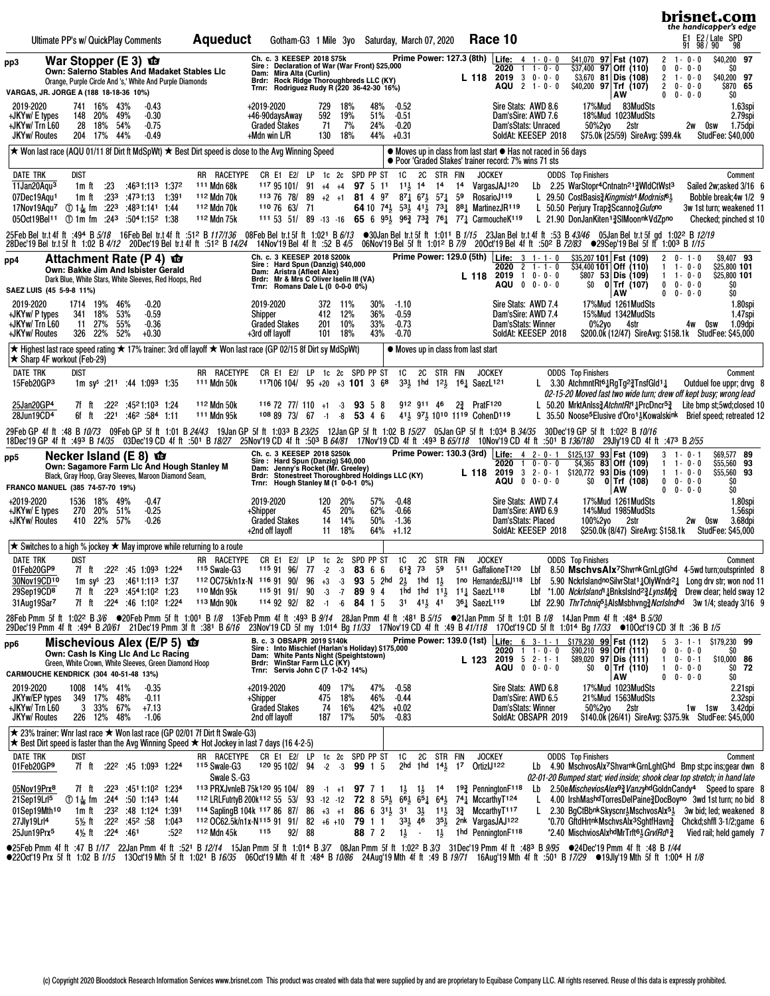|                                                                                                                                                                                                                                                                                                                                                                                                                                               |                                                                                                                                                  |                                                     |                         |                                            |                                                                                                                     |                                                                                                                  |                                                                                                                                                                                                                                                                                                                                                                                                                                                                                                                                                                                  |                |                                                                         |               |                                                                                                                                                                                                 |                              |                                           |                                          |                                           |                |    |                                                                                                                                        |                                                                                                                                                                                                                                       |                 |                                                                                                                                                                                                                                                                                                                              |                  |                                                                                                          |                                                                           |                                           | brisnet.com<br>the handicapper's edge                                                                                                                                                                                                                                                                                                                                                                                                       |                    |
|-----------------------------------------------------------------------------------------------------------------------------------------------------------------------------------------------------------------------------------------------------------------------------------------------------------------------------------------------------------------------------------------------------------------------------------------------|--------------------------------------------------------------------------------------------------------------------------------------------------|-----------------------------------------------------|-------------------------|--------------------------------------------|---------------------------------------------------------------------------------------------------------------------|------------------------------------------------------------------------------------------------------------------|----------------------------------------------------------------------------------------------------------------------------------------------------------------------------------------------------------------------------------------------------------------------------------------------------------------------------------------------------------------------------------------------------------------------------------------------------------------------------------------------------------------------------------------------------------------------------------|----------------|-------------------------------------------------------------------------|---------------|-------------------------------------------------------------------------------------------------------------------------------------------------------------------------------------------------|------------------------------|-------------------------------------------|------------------------------------------|-------------------------------------------|----------------|----|----------------------------------------------------------------------------------------------------------------------------------------|---------------------------------------------------------------------------------------------------------------------------------------------------------------------------------------------------------------------------------------|-----------------|------------------------------------------------------------------------------------------------------------------------------------------------------------------------------------------------------------------------------------------------------------------------------------------------------------------------------|------------------|----------------------------------------------------------------------------------------------------------|---------------------------------------------------------------------------|-------------------------------------------|---------------------------------------------------------------------------------------------------------------------------------------------------------------------------------------------------------------------------------------------------------------------------------------------------------------------------------------------------------------------------------------------------------------------------------------------|--------------------|
|                                                                                                                                                                                                                                                                                                                                                                                                                                               | Ultimate PP's w/ QuickPlay Comments                                                                                                              |                                                     |                         |                                            |                                                                                                                     |                                                                                                                  | <b>Aqueduct</b>                                                                                                                                                                                                                                                                                                                                                                                                                                                                                                                                                                  |                |                                                                         |               | Gotham-G3 1 Mile 3yo Saturday, March 07, 2020                                                                                                                                                   |                              |                                           |                                          |                                           |                |    |                                                                                                                                        | Race 10                                                                                                                                                                                                                               |                 |                                                                                                                                                                                                                                                                                                                              |                  |                                                                                                          |                                                                           |                                           | E1 E2/Late SPD<br>91 98/90 98                                                                                                                                                                                                                                                                                                                                                                                                               |                    |
| pp3<br>VARGAS, JR. JORGE A (188 18-18-36 10%)                                                                                                                                                                                                                                                                                                                                                                                                 | War Stopper (E 3) $\mathbf{\hat{w}}$<br>Own: Salerno Stables And Madaket Stables Lic<br>Orange, Purple Circle And 's,' White And Purple Diamonds |                                                     |                         |                                            |                                                                                                                     |                                                                                                                  |                                                                                                                                                                                                                                                                                                                                                                                                                                                                                                                                                                                  | Brdr:<br>Trnr: |                                                                         |               | Ch. c. 3 KEESEP 2018 \$75k<br>Sire: Declaration of War (War Front) \$25,000<br>Dam: Mira Alta (Curlin)<br>Rock Ridge Thoroughbreds LLC (KY)<br>Rodriguez Rudy R (220 36-42-30 16%)              |                              |                                           |                                          |                                           |                |    | L 118                                                                                                                                  | Prime Power: 127.3 (8th) Life: 4 1-0-0<br>2020<br>$2019$ 3 0 - 0 - 0<br>AQU 2 1-0-0                                                                                                                                                   | $1 \t1 - 0 - 0$ |                                                                                                                                                                                                                                                                                                                              |                  | \$41,070 97 Fst (107)<br>$$37,400$ 97 Off (110)<br>$$3,670$ 81 Dis (108)<br>$$40,200$ 97 Trf (107)<br>AW | $2 \t1 - 0 - 0$<br>0<br>$\overline{2}$<br>$\overline{2}$<br>$0 0 - 0 - 0$ | $0 - 0 - 0$<br>$1 - 0 - 0$<br>$0 - 0 - 0$ | \$40,200 97<br>SO.<br>\$40,200 97<br>\$870 65<br>SO.                                                                                                                                                                                                                                                                                                                                                                                        |                    |
| 2019-2020<br>+JKYw/ E types<br>+JKYw/ Trn L60<br><b>JKYw/ Routes</b>                                                                                                                                                                                                                                                                                                                                                                          |                                                                                                                                                  | 741 16% 43%<br>148 20%<br>28<br>204 17%             | 18%                     | 49%<br>54%<br>44%                          | $-0.43$<br>$-0.30$<br>$-0.75$<br>$-0.49$                                                                            |                                                                                                                  |                                                                                                                                                                                                                                                                                                                                                                                                                                                                                                                                                                                  |                | +2019-2020<br>+46-90daysAway<br><b>Graded Stakes</b><br>$+$ Mdn win L/R |               | 729<br>592<br>71<br>130                                                                                                                                                                         | 18%<br>19%<br>7%<br>18%      | 48%<br>51%<br>24%<br>44%                  | $-0.52$<br>$-0.51$<br>$-0.20$<br>$+0.31$ |                                           |                |    |                                                                                                                                        | Sire Stats: AWD 8.6<br>Dam'sSire: AWD 7.6<br>Dam'sStats: Unraced<br>SoldAt: KEESEP 2018                                                                                                                                               |                 |                                                                                                                                                                                                                                                                                                                              | 17%Mud<br>50%2yo | 83MudSts<br>18%Mud 1023MudSts<br>2str<br>\$75.0k (25/59) SireAvg: \$99.4k                                |                                                                           | 2w Osw                                    | 1.75dpi<br>StudFee: \$40,000                                                                                                                                                                                                                                                                                                                                                                                                                | 1.63spi<br>2.79spi |
| $\star$ Won last race (AQU 01/11 8f Dirt ft MdSpWt) $\star$ Best Dirt speed is close to the Avg Winning Speed                                                                                                                                                                                                                                                                                                                                 |                                                                                                                                                  |                                                     |                         |                                            |                                                                                                                     |                                                                                                                  |                                                                                                                                                                                                                                                                                                                                                                                                                                                                                                                                                                                  |                |                                                                         |               |                                                                                                                                                                                                 |                              |                                           |                                          |                                           |                |    |                                                                                                                                        | • Moves up in class from last start • Has not raced in 56 days<br>● Poor 'Graded Stakes' trainer record: 7% wins 71 sts                                                                                                               |                 |                                                                                                                                                                                                                                                                                                                              |                  |                                                                                                          |                                                                           |                                           |                                                                                                                                                                                                                                                                                                                                                                                                                                             |                    |
| <b>DATE TRK</b><br>11Jan20Aqu <sup>3</sup><br>07Dec19Aqu1<br>17Nov19Aqu <sup>7</sup> ① 1 $\frac{1}{16}$ fm :22 <sup>3</sup><br>05Oct19Bel <sup>11</sup> ① 1m fm :24 <sup>3</sup> :50 <sup>4</sup> 1:15 <sup>2</sup> 1:38                                                                                                                                                                                                                      |                                                                                                                                                  | dist<br>1m ft<br>1m ft                              | .23<br>:23 <sup>3</sup> |                                            | :4731:13 1:391<br>:4831:141 1:44                                                                                    | :4631:113 1:372                                                                                                  | RR RACETYPE<br>111 Mdn 68k<br>112 Mdn 70k<br>112 Mdn 70k<br>112 Mdn 75k                                                                                                                                                                                                                                                                                                                                                                                                                                                                                                          |                | 113 76 78/                                                              | 110 76 63/ 71 | CR E1 E2/ LP 1c 2c SPD PP ST<br>$11795101/91 + 4 + 4$<br>89<br>111 53 51/ 89 -13 -16                                                                                                            |                              | 97 5 11<br>$+2$ +1 81 4 97 871 671 571 59 | 1C<br>$11\frac{1}{2}$ 14                 | 2C                                        | STR FIN<br>14  | 14 | <b>JOCKEY</b><br>RosarioJ119                                                                                                           | VargasJAJ120<br>64 10 $74\frac{1}{2}$ $53\frac{1}{2}$ $41\frac{1}{2}$ $73\frac{1}{4}$ $88\frac{1}{4}$ MartinezJR119<br>65 6 $95\frac{1}{2}$ $96\frac{3}{4}$ $73\frac{3}{4}$ $76\frac{1}{4}$ $77\frac{1}{4}$ CarmoucheK <sup>119</sup> |                 | <b>ODDS</b> Top Finishers<br>Lb 2.25 WarStopr <sup>4</sup> Cntnatn <sup>21</sup> / <sub>2</sub> WidCtWst <sup>3</sup><br>L 29.50 CostBasis $\frac{3}{4}$ Kingmistr <sup>1</sup> Modrnist <sup>61</sup> / <sub>5</sub><br>L 50.50 Perjury Trap <sub>2</sub> Scanno <sub>2</sub> Gufono<br>L 21.90 DonJanKiten13SIMoonnkVdZpno |                  |                                                                                                          |                                                                           |                                           | Comment<br>Sailed 2w; asked 3/16 6<br>Bobble break; 4w 1/2 9<br>3w 1st turn; weakened 11<br>Checked; pinched st 10                                                                                                                                                                                                                                                                                                                          |                    |
| 25FebBeltr.t4fft :494 B5/18 16FebBeltr.t4fft :512 B117/136 08FebBeltr.t5fft 1:021 B6/13 ●30JanBeltr.t5fft 1:011 B1/15 23JanBeltr.t4fft :53 B43/46 05JanBeltr.t5fgd 1:022 B12/19<br>28Dec'19 Beltr.t5fft 1:02 B4/12 20Dec'19 Beltr.t4fft :512 B14/24 14Nov'19 Bel4fft :52 B4/5 06Nov'19 Bel5fft 1:012 B7/9 20Oct'19 Bel4fft :50º B72/83 ●29Sep'19 Bel5fft 1:003 B1/15                                                                          |                                                                                                                                                  |                                                     |                         |                                            |                                                                                                                     |                                                                                                                  |                                                                                                                                                                                                                                                                                                                                                                                                                                                                                                                                                                                  |                |                                                                         |               |                                                                                                                                                                                                 |                              |                                           |                                          |                                           |                |    |                                                                                                                                        |                                                                                                                                                                                                                                       |                 |                                                                                                                                                                                                                                                                                                                              |                  |                                                                                                          |                                                                           |                                           |                                                                                                                                                                                                                                                                                                                                                                                                                                             |                    |
| pp4<br>SAEZ LUIS (45 5-9-8 11%)                                                                                                                                                                                                                                                                                                                                                                                                               | Attachment Rate (P 4) <b>to</b><br>Own: Bakke Jim And Isbister Gerald<br>Dark Blue, White Stars, White Sleeves, Red Hoops, Red                   |                                                     |                         |                                            |                                                                                                                     |                                                                                                                  |                                                                                                                                                                                                                                                                                                                                                                                                                                                                                                                                                                                  |                |                                                                         |               | Ch. c. 3 KEESEP 2018 \$200k<br>Sire: Hard Spun (Danzig) \$40,000<br>Dam: Aristra (Afleet Alex)<br>Brdr: Mr & Mrs C Oliver Iselin III (VA)<br>Trnr: Romans Dale L (0 0-0-0 0%)                   |                              |                                           | Prime Power: 129.0 (5th) Life:           |                                           |                |    | L 118                                                                                                                                  | $2020$ 2 1 - 1 - 0<br>$2019$ 1 0 - 0 - 0<br>AQU 0 0-0-0                                                                                                                                                                               | $3 + 1 - 1 - 0$ | SO.                                                                                                                                                                                                                                                                                                                          |                  | \$35,207 101   Fst (109)<br>$$34,400$ 101 Off (110)<br>\$807 53 Dis (109)<br>$0$ Trf (107)<br>  AW       | 2<br>$1 \t1 - 0 - 0$<br>$0 \t 0 - 0 - 0$<br>$\mathbf{0}$                  | $0 - 1 - 0$<br>$1 - 0 - 0$<br>$0 - 0 - 0$ | \$9,407 93<br>\$25,800 101<br>\$25,800 101<br>\$O<br>\$O                                                                                                                                                                                                                                                                                                                                                                                    |                    |
| 2019-2020<br>+JKYw/ P types<br>+JKYw/ Trn L60<br>+JKYw/ Routes                                                                                                                                                                                                                                                                                                                                                                                |                                                                                                                                                  | 1714 19%<br>341 18%<br>11 27%<br>326 22% 52%        |                         | 46%<br>53%<br>55%                          | $-0.20$<br>$-0.59$<br>$-0.36$<br>$+0.30$                                                                            |                                                                                                                  |                                                                                                                                                                                                                                                                                                                                                                                                                                                                                                                                                                                  | Shipper        | 2019-2020<br><b>Graded Stakes</b><br>+3rd off layoff                    |               | 412<br>201<br>101                                                                                                                                                                               | 372 11%<br>12%<br>10%<br>18% | 30%<br>36%<br>33%<br>43%                  | $-1.10$<br>$-0.59$<br>$-0.73$<br>$-0.70$ |                                           |                |    |                                                                                                                                        | Sire Stats: AWD 7.4<br>Dam'sSire: AWD 7.4<br>Dam'sStats: Winner<br>SoldAt: KEESEP 2018                                                                                                                                                |                 |                                                                                                                                                                                                                                                                                                                              | 0%2yo            | 17%Mud 1261MudSts<br>15%Mud 1342MudSts<br>4str                                                           |                                                                           | 4w<br>0sw                                 | 1.09dpi<br>\$200.0k (12/47) SireAvg: \$158.1k StudFee: \$45,000                                                                                                                                                                                                                                                                                                                                                                             | 1.80spi<br>1.47spi |
| ★ Highest last race speed rating ★ 17% trainer: 3rd off layoff ★ Won last race (GP 02/15 8f Dirt sy MdSpWt)<br>$\star$ Sharp 4F workout (Feb-29)                                                                                                                                                                                                                                                                                              |                                                                                                                                                  |                                                     |                         |                                            |                                                                                                                     |                                                                                                                  |                                                                                                                                                                                                                                                                                                                                                                                                                                                                                                                                                                                  |                |                                                                         |               |                                                                                                                                                                                                 |                              |                                           | • Moves up in class from last start      |                                           |                |    |                                                                                                                                        |                                                                                                                                                                                                                                       |                 |                                                                                                                                                                                                                                                                                                                              |                  |                                                                                                          |                                                                           |                                           |                                                                                                                                                                                                                                                                                                                                                                                                                                             |                    |
| <b>DATE TRK</b><br>15Feb20GP3                                                                                                                                                                                                                                                                                                                                                                                                                 |                                                                                                                                                  | dist                                                |                         |                                            | 1m sy <sup>s</sup> :21 <sup>1</sup> :44 1:09 <sup>3</sup> 1:35                                                      |                                                                                                                  | RR RACETYPE<br>111 Mdn 50k                                                                                                                                                                                                                                                                                                                                                                                                                                                                                                                                                       |                |                                                                         |               | CR E1 E2/ LP 1c 2c SPD PP ST<br>117106 104/ 95 +20 +3 101 3 68                                                                                                                                  |                              |                                           | 1C 2C STR FIN                            |                                           |                |    | <b>JOCKEY</b><br>33 <sup>1</sup> / <sub>2</sub> 1hd 12 <sup>1</sup> / <sub>2</sub> 16 <sup>1</sup> / <sub>4</sub> SaezL <sup>121</sup> |                                                                                                                                                                                                                                       |                 | <b>ODDS</b> Top Finishers<br>L 3.30 AtchmntRt61RgTg23TnsfGld11                                                                                                                                                                                                                                                               |                  |                                                                                                          |                                                                           |                                           | Comment<br>Outduel foe uppr; drvg 8<br>02-15-20 Moved fast two wide turn; drew off kept busy; wrong lead                                                                                                                                                                                                                                                                                                                                    |                    |
| 25Jan20GP4<br>28Jun19CD <sup>4</sup>                                                                                                                                                                                                                                                                                                                                                                                                          |                                                                                                                                                  | 7f ft<br>6f ft                                      | :221                    |                                            | $:22^2$ $:45^21:10^3$ 1:24<br>:462 :584 1:11                                                                        |                                                                                                                  | 112 Mdn 50k<br>111 Mdn 95k                                                                                                                                                                                                                                                                                                                                                                                                                                                                                                                                                       |                |                                                                         |               | $11672$ 77/110 +1 -3 93 5 8<br>$1088973/67 - 1 - 8$                                                                                                                                             |                              | 53 4 6                                    |                                          | 912 911 46                                |                |    | $2\frac{3}{4}$ PratF <sub>120</sub><br>41} 97} 1010 1119 CohenD119                                                                     |                                                                                                                                                                                                                                       |                 |                                                                                                                                                                                                                                                                                                                              |                  |                                                                                                          |                                                                           |                                           | L 50.20 MrktAnlss3AtchntRt1 1PrcDncr <sup>53</sup> Lite bmp st;5wd;closed 10<br>L 35.50 Noose <sup>5</sup> Elusive d'Oro <sup>13</sup> Kowalskink Brief speed; retreated 12                                                                                                                                                                                                                                                                 |                    |
| 29Feb GP 4f ft :48 B 10/73 09Feb GP 5f ft 1:01 B 24/43 19Jan GP 5f ft 1:033 B 23/25 12Jan GP 5f ft 1:02 B 15/27 05Jan GP 5f ft 1:034 B 34/35 30Dec 19 GP 5f ft 1:022 B 10/16<br>18Dec'19 GP 4f ft :493 B 14/35 03Dec'19 GD 4f ft :501 B 18/27 25Nov'19 CD 4f ft :503 B 64/81 17Nov'19 CD 4f ft :493 B 65/118 10Nov'19 CD 4f ft :501 B 136/180 29Jly'19 CD 4f ft :473 B 2/55                                                                   |                                                                                                                                                  |                                                     |                         |                                            |                                                                                                                     |                                                                                                                  |                                                                                                                                                                                                                                                                                                                                                                                                                                                                                                                                                                                  |                |                                                                         |               |                                                                                                                                                                                                 |                              |                                           |                                          |                                           |                |    |                                                                                                                                        |                                                                                                                                                                                                                                       |                 |                                                                                                                                                                                                                                                                                                                              |                  |                                                                                                          |                                                                           |                                           |                                                                                                                                                                                                                                                                                                                                                                                                                                             |                    |
| pp5<br>FRANCO MANUEL (385 74-57-70 19%)                                                                                                                                                                                                                                                                                                                                                                                                       | Necker Island (E 8) $\mathbf{\hat{w}}$<br>Own: Sagamore Farm Lic And Hough Stanley M<br>Black, Gray Hoop, Gray Sleeves, Maroon Diamond Seam,     |                                                     |                         |                                            |                                                                                                                     |                                                                                                                  |                                                                                                                                                                                                                                                                                                                                                                                                                                                                                                                                                                                  |                |                                                                         |               | Ch. c. 3 KEESEP 2018 \$250k<br>Sire: Hard Spun (Danzig) \$40,000<br>Dam: Jenny's Rocket (Mr. Greeley)<br>Brdr: Stonestreet Thoroughbred Holdings LLC (KY)<br>Trnr: Hough Stanley M (1 0-0-1 0%) |                              |                                           |                                          |                                           |                |    | L 118                                                                                                                                  | 2020<br>$2019$ 3 2 - 0 - 1<br>AQU 0 0-0-0                                                                                                                                                                                             | $1 \t0 - 0 - 0$ | Prime Power: 130.3 (3rd) Life: 4 2-0-1 \$125,137 93 Fst (109)<br>$$120,772$ 93 Dis (109)<br>SO.                                                                                                                                                                                                                              |                  | $$4,365$ 83 Off (109)<br>$0$ Trf (108)                                                                   | 3<br>$1 \t1 - 0 - 0$<br>$\bf{0}$                                          | $1 - 0 - 1$<br>$1 - 0 - 0$<br>$0 - 0 - 0$ | \$69,577 89<br>\$55,560 93<br>\$55,560 93<br>\$O                                                                                                                                                                                                                                                                                                                                                                                            |                    |
| +2019-2020<br>+JKYw/ E types<br>+JKYw/ Routes                                                                                                                                                                                                                                                                                                                                                                                                 |                                                                                                                                                  | 1536 18%<br>270 20% 51%<br>410 22% 57%              |                         | 49%                                        | $-0.47$<br>$-0.25$<br>$-0.26$                                                                                       |                                                                                                                  |                                                                                                                                                                                                                                                                                                                                                                                                                                                                                                                                                                                  | +Shipper       | 2019-2020<br><b>Graded Stakes</b><br>+2nd off layoff                    |               | 120<br>45<br>14<br>11                                                                                                                                                                           | 20%<br>20%<br>14%<br>18%     | 57%<br>62%<br>50%<br>64%                  | $-0.48$<br>$-0.66$<br>$-1.36$<br>$+1.12$ |                                           |                |    |                                                                                                                                        | Sire Stats: AWD 7.4<br>Dam'sSire: AWD 6.9<br>Dam'sStats: Placed<br>SoldAt: KEESEP 2018                                                                                                                                                |                 |                                                                                                                                                                                                                                                                                                                              | 100%2yo          | AW<br>17%Mud 1261MudSts<br>14%Mud 1985MudSts<br>2str<br>\$250.0k (8/47) SireAvg: \$158.1k                | 0                                                                         | $0 - 0 - 0$<br>2w<br>0sw                  | \$O<br>3.68dpi<br><b>StudFee: \$45,000</b>                                                                                                                                                                                                                                                                                                                                                                                                  | 1.80spi<br>1.56spi |
| $\star$ Switches to a high % jockey $\star$ May improve while returning to a route                                                                                                                                                                                                                                                                                                                                                            |                                                                                                                                                  |                                                     |                         |                                            |                                                                                                                     |                                                                                                                  |                                                                                                                                                                                                                                                                                                                                                                                                                                                                                                                                                                                  |                |                                                                         |               |                                                                                                                                                                                                 |                              |                                           |                                          |                                           |                |    |                                                                                                                                        |                                                                                                                                                                                                                                       |                 |                                                                                                                                                                                                                                                                                                                              |                  |                                                                                                          |                                                                           |                                           |                                                                                                                                                                                                                                                                                                                                                                                                                                             |                    |
| <b>DATE TRK</b><br>01Feb20GP9<br>30Nov19CD10<br>29Sep19CD8<br>31Aug19Sar7                                                                                                                                                                                                                                                                                                                                                                     |                                                                                                                                                  | dist                                                |                         |                                            | 1m sy <sup>s</sup> :23 :46 <sup>1</sup> 1:11 <sup>3</sup> 1:37<br>7f ft :22 <sup>3</sup> :4541:10 <sup>2</sup> 1:23 | 7f ft :22 <sup>2</sup> :45 1:09 <sup>3</sup> 1:224<br>7f ft :224 :46 1:10 <sup>2</sup> 1:224                     | RR RACETYPE<br><sup>115</sup> Swale-G3<br>110 Mdn 95k<br>113 Mdn 90k                                                                                                                                                                                                                                                                                                                                                                                                                                                                                                             |                |                                                                         |               | CR E1 E2/ LP 1c 2c SPD PP ST 1C<br>115 91 96/ 77 -2 -3 83 6 6<br>$1159191/90$ -3 -7 89 9 4<br>$1149292/82 - 1 - 6$                                                                              |                              | 84 1 5                                    | $6^{13}$ 73                              | 2C                                        | STR FIN        |    | <b>JOCKEY</b><br>1hd 1hd 111, 111 SaezL118<br>31 411 41 361 SaezL119                                                                   |                                                                                                                                                                                                                                       |                 | <b>ODDS</b> Top Finishers                                                                                                                                                                                                                                                                                                    |                  |                                                                                                          |                                                                           |                                           | Comment<br>59 511 GaffalioneT120 Lbf 8.50 MschvsAlx7ShvrnkGrnLgtGhd 4-5wd turn;outsprinted 8<br>112 OC75k/n1x-N 116 91 90/ 96 +3 -3 93 5 2hd 2} 1hd 1} 1no HernandezBJJ118 Lbf 5.90 NckrIslandnoSilvrStat13OlyWndr21 Long drv str; won nod 11<br>Lbf *1.00 NckrIsland <sup>1</sup> {BnksIsInd <sup>2}</sup> LynsMp <sup>3</sup> Drew clear; held sway 12<br>Lbf 22.90 ThrTchniq <sup>5</sup> 3AlsMsbhvng 2 Norlslnghd 3w 1/4; steady 3/16 9 |                    |
| 28Feb Pmm 5f ft 1:022 B 3/6 ●20Feb Pmm 5f ft 1:001 B 1/8 13Feb Pmm 4f ft :493 B 9/14 28Jan Pmm 4f ft :481 B 5/15 ●21Jan Pmm 5f ft 1:01 B 1/8 14Jan Pmm 4f ft :484 B 5/30<br>29Dec'19 Pmm 4f ft :494 B 20/61 21Dec'19 Pmm 3f ft :381 B 6/16 23Nov'19 CD 5f my 1:014 Bg 11/33 17Nov'19 CD 4f ft :49 B 41/118 17Oct'19 CD 5f ft 1:014 Bg 17/33 ●10Oct'19 CD 3f ft :36 B 1/5                                                                      |                                                                                                                                                  |                                                     |                         |                                            |                                                                                                                     |                                                                                                                  |                                                                                                                                                                                                                                                                                                                                                                                                                                                                                                                                                                                  |                |                                                                         |               |                                                                                                                                                                                                 |                              |                                           |                                          |                                           |                |    |                                                                                                                                        |                                                                                                                                                                                                                                       |                 |                                                                                                                                                                                                                                                                                                                              |                  |                                                                                                          |                                                                           |                                           |                                                                                                                                                                                                                                                                                                                                                                                                                                             |                    |
| pp6<br>CARMOUCHE KENDRICK (304 40-51-48 13%)                                                                                                                                                                                                                                                                                                                                                                                                  | Mischevious Alex (E/P 5) <b>to</b><br>Own: Cash Is King LIc And Lc Racing<br>Green, White Crown, White Sleeves, Green Diamond Hoop               |                                                     |                         |                                            |                                                                                                                     |                                                                                                                  |                                                                                                                                                                                                                                                                                                                                                                                                                                                                                                                                                                                  |                |                                                                         |               | B. c. 3 OBSAPR 2019 \$140k<br>Sire : Into Mischief (Harlan's Holiday) \$175,000<br>Dam: White Pants Night (Speightstown)<br>Brdr: WinStar Farm LLC (KY)<br>Trnr: Servis John C (7 1-0-2 14%)    |                              |                                           |                                          |                                           |                |    |                                                                                                                                        | 2020 1 1 0 0<br>L 123 2019 5 2-1-1<br>AQU 0 0-0-0                                                                                                                                                                                     |                 | Prime Power: 139.0 (1st) Life: 6 3-1-1 \$179,230 99 Fst (112)                                                                                                                                                                                                                                                                |                  | $$90,210$ 99 Off (111)<br>\$89,020 97 Dis (111)<br>$$0$ 0 Trf (110)                                      | $5 \quad 3 \cdot 1 \cdot 1$<br>$1 \t 0 - 0 - 1$<br>$10 - 0 - 0$           | $0 - 0 - 0$                               | \$179,230 99<br>SO<br>\$10,000 86<br>$$0$ 72                                                                                                                                                                                                                                                                                                                                                                                                |                    |
| 2019-2020<br>JKYw/EP types<br>+JKYw/ Trn L60<br><b>JKYw/ Routes</b>                                                                                                                                                                                                                                                                                                                                                                           |                                                                                                                                                  | 1008 14% 41%<br>349 17%<br>3 33% 67%<br>226 12% 48% |                         | 48%                                        | $-0.35$<br>$-0.11$<br>$+7.13$<br>$-1.06$                                                                            |                                                                                                                  |                                                                                                                                                                                                                                                                                                                                                                                                                                                                                                                                                                                  | +Shipper       | +2019-2020<br><b>Graded Stakes</b><br>2nd off lavoff                    |               | 409<br>475<br>74                                                                                                                                                                                | 17%<br>18%<br>16%<br>187 17% | 47%<br>46%<br>42%<br>50%                  | $-0.58$<br>$-0.44$<br>$+0.02$<br>$-0.83$ |                                           |                |    |                                                                                                                                        | Sire Stats: AWD 6.8<br>Dam'sSire: AWD 6.5<br>Dam'sStats: Winner<br>SoldAt: OBSAPR 2019                                                                                                                                                |                 |                                                                                                                                                                                                                                                                                                                              | 50%2yo           | AW<br>17%Mud 1023MudSts<br>21%Mud 1563MudSts<br>2str                                                     | $0 \t 0 - 0 - 0$                                                          | 1w 1sw                                    | SO.<br>3.42dpi<br>\$140.0k (26/41) SireAvg: \$375.9k StudFee: \$45,000                                                                                                                                                                                                                                                                                                                                                                      | 2.21spi<br>2.32spi |
| $\star$ 23% trainer: Wnr last race $\star$ Won last race (GP 02/01 7f Dirt ft Swale-G3)<br>★ Best Dirt speed is faster than the Avg Winning Speed ★ Hot Jockey in last 7 days (16 4-2-5)                                                                                                                                                                                                                                                      |                                                                                                                                                  |                                                     |                         |                                            |                                                                                                                     |                                                                                                                  |                                                                                                                                                                                                                                                                                                                                                                                                                                                                                                                                                                                  |                |                                                                         |               |                                                                                                                                                                                                 |                              |                                           |                                          |                                           |                |    |                                                                                                                                        |                                                                                                                                                                                                                                       |                 |                                                                                                                                                                                                                                                                                                                              |                  |                                                                                                          |                                                                           |                                           |                                                                                                                                                                                                                                                                                                                                                                                                                                             |                    |
| <b>DATE TRK</b><br>01Feb20GP9                                                                                                                                                                                                                                                                                                                                                                                                                 |                                                                                                                                                  | dist                                                |                         |                                            |                                                                                                                     | 7f ft :22 <sup>2</sup> :45 1:09 <sup>3</sup> 1:224                                                               | RR RACETYPE CR E1 E2/ LP 1c 2c SPD PP ST<br><sup>115</sup> Swale-G3<br>Swale S.-G3                                                                                                                                                                                                                                                                                                                                                                                                                                                                                               |                |                                                                         |               | 120 95 102/ 94 -2 -3 99 1 5                                                                                                                                                                     |                              |                                           | 1C                                       | 2C STR FIN<br>2hd 1hd 14 $\frac{1}{2}$ 17 |                |    | <b>JOCKEY</b><br>OrtizlJ122                                                                                                            |                                                                                                                                                                                                                                       |                 | <b>ODDS</b> Top Finishers                                                                                                                                                                                                                                                                                                    |                  |                                                                                                          |                                                                           |                                           | Comment<br>Lb 4.90 MschvosAlx7ShvarnkGrnLghtGhd Bmp st;pc ins;gear dwn 8<br>02-01-20 Bumped start; vied inside; shook clear top stretch; in hand late                                                                                                                                                                                                                                                                                       |                    |
| 05Nov19Prx <sup>8</sup><br>21Sep19Lrl <sup>5</sup><br>01Sep19Mth <sup>10</sup><br>27Jly19Lrl <sup>4</sup><br>25Jun19Prx <sup>5</sup>                                                                                                                                                                                                                                                                                                          |                                                                                                                                                  | 71 11                                               |                         | 4 <sup>1</sup> / <sub>2</sub> ft .224 :461 | ① 14 fm :244 :50 1:143 1:44<br>1m ft :23 <sup>2</sup> :48 1:124 1:391                                               | $:22^3$ $:45^11:10^2$ 1:234<br>$5\frac{1}{2}$ ft :22 <sup>2</sup> :45 <sup>2</sup> :58 1:04 <sup>3</sup><br>:522 | 113 PRXJvnleB 75k120 95 104/ 89 -1 +1 97 7 1<br>112 LRLFutrtyB 200k <sup>112</sup> 55 53/ 93 -12 -12 <b>72</b> 8 5 <sup>5</sup> $\frac{1}{2}$ 6 <sup>6</sup> $\frac{1}{2}$ 6 <sup>4</sup> $\frac{1}{2}$ 7 <sup>4</sup> $\frac{1}{4}$ MccarthyT <sup>124</sup><br>114 Sapling B 104k 117 86 87/ 86 +3 +1 86 6 31 <sup>1</sup> / <sub>2</sub> 31 3 <sup>1</sup> / <sub>2</sub> 11 <sup>1</sup> / <sub>2</sub> 3 <sup>2</sup> / <sub>4</sub> Mccarthy T <sup>117</sup><br>112 OC62.5k/n1x-N115 91 91/ 82 +6 +10 79 1 1 $3^{31}_{2}$ 46 $3^{51}_{2}$ 2nk VargasJAJ122<br>112 Mdn 45k |                | 115                                                                     | 92/ 88        |                                                                                                                                                                                                 |                              | 88 7 2 $1\frac{1}{2}$ -                   |                                          |                                           | $1\frac{1}{2}$ |    |                                                                                                                                        | $1\frac{1}{2}$ $1\frac{1}{2}$ $1^4$ $1^9\frac{3}{4}$ PenningtonF <sup>118</sup><br>1hd PenningtonF118                                                                                                                                 | L.              | *2.40 MischviosAlxhdMrTrft63 GrvlRd13                                                                                                                                                                                                                                                                                        |                  |                                                                                                          |                                                                           |                                           | Lb 2.50e Mischevios Alex <sup>9</sup> / <sub>2</sub> Vanzy hd Goldn Candy <sup>4</sup> Speed to spare 8<br>4.00 IrshMashdTorresDelPaine 3DocBoyno 3wd 1st turn; no bid 8<br>L 2.30 BgCtBbnkSkyscnr $\frac{1}{2}$ MschvosAlx <sup>51</sup> / <sub>2</sub> 3w bid; led; weakened 8<br>*0.70 GftdHrtnkMschvsAlx <sup>3</sup> SghtfHavn <sub>2</sub> Chckd;shffl 3-1/2;game 6<br>Vied rail; held gamely 7                                       |                    |
| •25 Pmm 4f ft :47 B 1/17 22Jan Pmm 4f ft :521 B 12/14 15Jan Pmm 5f ft 1:014 B 3/7 08Jan Pmm 5f ft 1:022 B 3/3 31Dec'19 Pmm 4f ft :483 B 9/95 •24Dec'19 Pmm 4f ft :48 + 8 9/95 •24Dec'19 Pmm 4f ft :48<br>●22Oct'19 Prx 5f ft 1:02 B 1/15 13Oct'19 Mth 5f ft 1:02 <sup>1</sup> B 16/35 06Oct'19 Mth 4f ft :48 <sup>4</sup> B 10/86 24Aug'19 Mth 4f ft :49 B 19/71 16Aug'19 Mth 4f ft :50 <sup>1</sup> B 17/29 ●19Jly'19 Mth 5f ft 1:00 + H 1/8 |                                                                                                                                                  |                                                     |                         |                                            |                                                                                                                     |                                                                                                                  |                                                                                                                                                                                                                                                                                                                                                                                                                                                                                                                                                                                  |                |                                                                         |               |                                                                                                                                                                                                 |                              |                                           |                                          |                                           |                |    |                                                                                                                                        |                                                                                                                                                                                                                                       |                 |                                                                                                                                                                                                                                                                                                                              |                  |                                                                                                          |                                                                           |                                           |                                                                                                                                                                                                                                                                                                                                                                                                                                             |                    |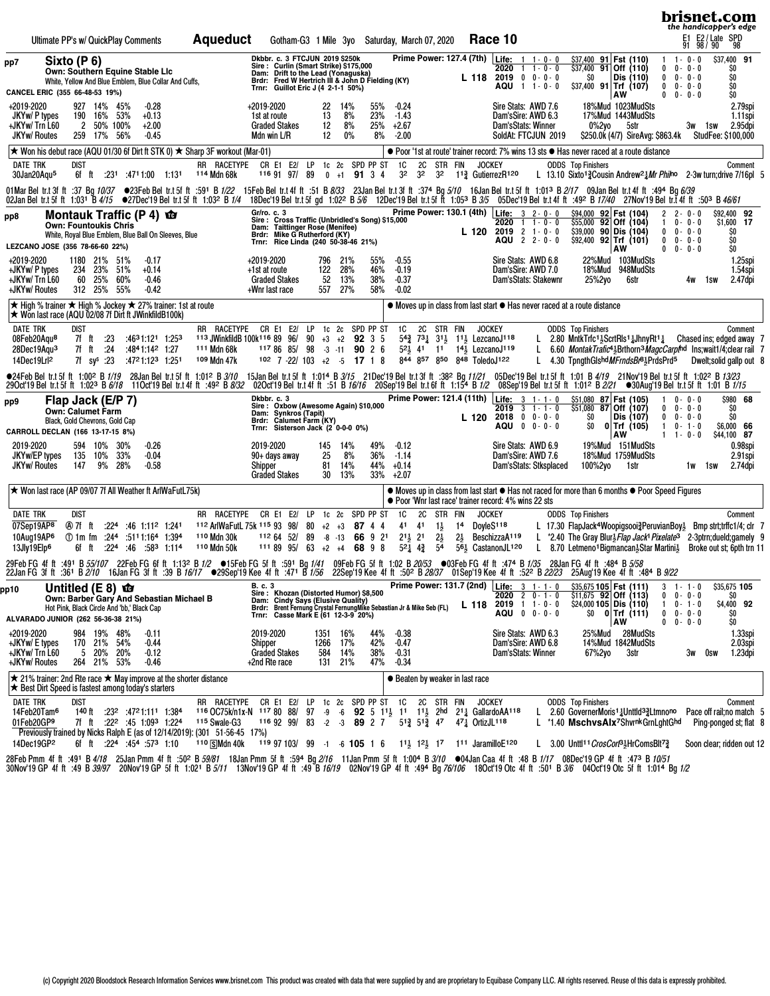|                                                                                                                                                                                                                                                                                                                                                                                                                                                                                             |                                                                                                                         |                                                                                                                |     |                                                                  |                                                                                                                                       |                                               |                                                                                                                                                                                                                                                                                                   |                                       |                                                |                                      |                                |                                                  |                                                                                                                                                                                                  |                      |                            |                                                                                                          |                 |                                                                                                                                                                                                                                                                                                                                                                                         |                                                                                                       |                                                           | brisnet.com<br>the handicapper's edge                                       |                                                 |                                                                                             |
|---------------------------------------------------------------------------------------------------------------------------------------------------------------------------------------------------------------------------------------------------------------------------------------------------------------------------------------------------------------------------------------------------------------------------------------------------------------------------------------------|-------------------------------------------------------------------------------------------------------------------------|----------------------------------------------------------------------------------------------------------------|-----|------------------------------------------------------------------|---------------------------------------------------------------------------------------------------------------------------------------|-----------------------------------------------|---------------------------------------------------------------------------------------------------------------------------------------------------------------------------------------------------------------------------------------------------------------------------------------------------|---------------------------------------|------------------------------------------------|--------------------------------------|--------------------------------|--------------------------------------------------|--------------------------------------------------------------------------------------------------------------------------------------------------------------------------------------------------|----------------------|----------------------------|----------------------------------------------------------------------------------------------------------|-----------------|-----------------------------------------------------------------------------------------------------------------------------------------------------------------------------------------------------------------------------------------------------------------------------------------------------------------------------------------------------------------------------------------|-------------------------------------------------------------------------------------------------------|-----------------------------------------------------------|-----------------------------------------------------------------------------|-------------------------------------------------|---------------------------------------------------------------------------------------------|
| Ultimate PP's w/ QuickPlay Comments                                                                                                                                                                                                                                                                                                                                                                                                                                                         |                                                                                                                         |                                                                                                                |     |                                                                  | <b>Aqueduct</b>                                                                                                                       |                                               | Gotham-G3 1 Mile 3yo Saturday, March 07, 2020                                                                                                                                                                                                                                                     |                                       |                                                |                                      |                                |                                                  |                                                                                                                                                                                                  |                      |                            | Race 10                                                                                                  |                 |                                                                                                                                                                                                                                                                                                                                                                                         |                                                                                                       |                                                           | E1 E2/Late SPD<br>91 98/90 98                                               |                                                 |                                                                                             |
| pp7<br>CANCEL ERIC (355 66-48-53 19%)                                                                                                                                                                                                                                                                                                                                                                                                                                                       | Sixto (P 6)<br>Own: Southern Equine Stable Llc<br>White, Yellow And Blue Emblem, Blue Collar And Cuffs,                 |                                                                                                                |     |                                                                  |                                                                                                                                       |                                               | Dkbbr. c. 3 FTCJUN 2019 \$250k<br>Sire: Curlin (Smart Strike) \$175,000<br>Dam: Drift to the Lead (Yonaguska)<br>Brdr: Fred W Hertrich III & John D Fielding (KY)<br>Trnr: Guillot Eric J (4 2-1-1 50%)                                                                                           |                                       |                                                |                                      |                                |                                                  | <b>Prime Power: 127.4 (7th)</b>                                                                                                                                                                  |                      |                            | <b>Life:</b> $1 \t1 \t0 \t0$<br>2020<br>$L$ 118 2019 0 0 0 0 0<br>AQU 1 1-0-0                            | $1 \t1 - 0 - 0$ | \$37,400 91 Fst (110)<br>$\frac{1}{537,400}$ 91 Off (110)<br>SO.<br>$$37,400$ 91 Trf (107)                                                                                                                                                                                                                                                                                              | Dis (110)<br><b>AW</b>                                                                                | $1 \t1 - 0 - 0$<br>$\mathbf{0}$<br>0<br>0                 | $0 - 0 - 0$<br>$0 - 0 - 0$<br>$0 - 0 - 0$<br>$0 \t 0 - 0 - 0$               | \$37,400 91<br>\$O<br>\$O<br>\$O<br>\$O         |                                                                                             |
| +2019-2020<br>JKYw/ P types<br>+JKYw/ Trn L60<br><b>JKYw/ Routes</b>                                                                                                                                                                                                                                                                                                                                                                                                                        | 190                                                                                                                     | 927 14% 45%<br>16% 53%<br>2 50% 100%<br>259 17% 56%                                                            |     | $-0.28$<br>$+0.13$<br>$+2.00$<br>$-0.45$                         |                                                                                                                                       | +2019-2020<br>1st at route<br>Mdn win L/R     | <b>Graded Stakes</b>                                                                                                                                                                                                                                                                              | 22<br>13<br>12<br>12                  | 14%<br>8%<br>8%<br>$0\%$                       |                                      | 55%<br>23%<br>25%<br>8%        | $-0.24$<br>$-1.43$<br>+2.67<br>$-2.00$           |                                                                                                                                                                                                  |                      |                            | Sire Stats: AWD 7.6<br>Dam'sSire: AWD 6.3<br>Dam'sStats: Winner<br>SoldAt: FTCJUN 2019                   |                 | $0\%2$ yo                                                                                                                                                                                                                                                                                                                                                                               | 18%Mud 1023MudSts<br>17%Mud 1443MudSts<br>5str<br>\$250.0k (4/7) SireAvg: \$863.4k StudFee: \$100,000 |                                                           | 3w 1sw                                                                      |                                                 | 2.79spi<br>1.11spi<br>2.95dpi                                                               |
| $\star$ Won his debut race (AQU 01/30 6f Dirt ft STK 0) $\star$ Sharp 3F workout (Mar-01)                                                                                                                                                                                                                                                                                                                                                                                                   |                                                                                                                         |                                                                                                                |     |                                                                  |                                                                                                                                       |                                               |                                                                                                                                                                                                                                                                                                   |                                       |                                                |                                      |                                |                                                  |                                                                                                                                                                                                  |                      |                            |                                                                                                          |                 | ● Poor '1st at route' trainer record: 7% wins 13 sts ● Has never raced at a route distance                                                                                                                                                                                                                                                                                              |                                                                                                       |                                                           |                                                                             |                                                 |                                                                                             |
| DATE TRK<br>30Jan20Aqu <sup>5</sup>                                                                                                                                                                                                                                                                                                                                                                                                                                                         | dist                                                                                                                    | 6f ft :231 :4711:00 1:131                                                                                      |     |                                                                  | RR RACETYPE<br>114 Mdn 68k                                                                                                            |                                               | CR E1 E2/ LP 1c 2c<br>116 91 97/ 89                                                                                                                                                                                                                                                               |                                       | $0 + 1$                                        | SPD PP ST<br>91 3 4                  |                                | 1C<br>3 <sup>2</sup>                             | 2C<br>3 <sup>2</sup><br>3 <sup>2</sup>                                                                                                                                                           | STR FIN              | <b>JOCKEY</b>              | 1 <sup>13</sup> / <sub>4</sub> GutierrezR <sup>120</sup>                                                 |                 | <b>ODDS</b> Top Finishers<br>L 13.10 Sixto <sup>13</sup> Cousin Andrew <sup>21</sup> Mr Philno 2-3w turn; drive 7/16pl 5                                                                                                                                                                                                                                                                |                                                                                                       |                                                           |                                                                             |                                                 | Comment                                                                                     |
| 01Mar Bel tr.t 3f ft :37 Bg 10/37 ●23Feb Bel tr.t 5f ft :591 B 1/22 15Feb Bel tr.t 4f ft :51 B 8/33 23Jan Bel tr.t 3f ft :374 Bg 5/10 16Jan Bel tr.t 5f ft 1:013 B2/17 09Jan Bel tr.t 4f ft :494 Bg 6/39<br>02Jan Bel tr.t.5f ft 1:03 <sup>1</sup> B4/15 ●27Dec'19 Bel tr.t.5f ft 1:03 <sup>2</sup> B 1/4 18Dec'19 Bel tr.t.5f gd 1:02 <sup>2</sup> B 5/6 12Dec'19 Bel tr.t.5f ft 1:03 <sup>3</sup> B 3/5 05Dec'19 Bel tr.t.4f ft :49 <sup>2</sup> B 1740 27Nov'19 Bel tr.t.4f ft :503 B 46 |                                                                                                                         |                                                                                                                |     |                                                                  |                                                                                                                                       |                                               |                                                                                                                                                                                                                                                                                                   |                                       |                                                |                                      |                                |                                                  |                                                                                                                                                                                                  |                      |                            |                                                                                                          |                 |                                                                                                                                                                                                                                                                                                                                                                                         |                                                                                                       |                                                           |                                                                             |                                                 |                                                                                             |
| pp8<br>LEZCANO JOSE (356 78-66-60 22%)                                                                                                                                                                                                                                                                                                                                                                                                                                                      | Montauk Traffic (P 4) <b>to</b><br><b>Own: Fountoukis Chris</b><br>White, Royal Blue Emblem, Blue Ball On Sleeves, Blue |                                                                                                                |     |                                                                  |                                                                                                                                       | Gr/ro. c. 3                                   | Sire: Cross Traffic (Unbridled's Song) \$15,000<br>Dam: Taittinger Rose (Menifee)<br>Brdr: Mike G Rutherford (KY)<br>Trnr: Rice Linda (240 50-38-46 21%)                                                                                                                                          |                                       |                                                |                                      |                                |                                                  |                                                                                                                                                                                                  |                      | L 120                      | Prime Power: 130.1 (4th) Life: 3 2-0-0<br>2020<br>$2019$ 2 1 - 0 - 0<br>AQU 2 2 - 0 - 0                  | $1 + 0 - 0$     | \$94,000 92 Fst (104)<br>$$55,000$ 92 Off (104)<br>$$39,000$ 90 Dis (104)<br>$$92,400$ 92 Trf (101)                                                                                                                                                                                                                                                                                     | <b>AW</b>                                                                                             | 2<br>$\mathbf{1}$<br>$0 \t 0 - 0 - 0$<br>$0 \t 0 - 0 - 0$ | $2 - 0 - 0$<br>$0 - 0 - 0$<br>$0 \t 0 - 0 - 0$                              | \$92,400 92<br>\$1,600 17<br>\$O<br>\$O<br>\$O  |                                                                                             |
| +2019-2020<br>+JKYw/ P types<br>+JKYw/Trn L60<br>+JKYw/ Routes                                                                                                                                                                                                                                                                                                                                                                                                                              |                                                                                                                         | 1180 21% 51%<br>234 23% 51%<br>60 25%<br>312 25% 55%                                                           | 60% | $-0.17$<br>$+0.14$<br>$-0.46$<br>$-0.42$                         |                                                                                                                                       | +2019-2020<br>+1st at route<br>+Wnr last race | <b>Graded Stakes</b>                                                                                                                                                                                                                                                                              | 122<br>52                             | 796 21%<br>28%<br>13%<br>557 27%               |                                      | 55%<br>46%<br>38%<br>58%       | $-0.55$<br>$-0.19$<br>$-0.37$<br>$-0.02$         |                                                                                                                                                                                                  |                      |                            | Sire Stats: AWD 6.8<br>Dam'sSire: AWD 7.0<br>Dam'sStats: Stakewnr                                        |                 | 25%2yo                                                                                                                                                                                                                                                                                                                                                                                  | 22%Mud 103MudSts<br>18%Mud 948MudSts<br>6str                                                          |                                                           | 4w<br>1sw                                                                   |                                                 | 1.25spi<br>1.54spi<br>2.47dpi                                                               |
| <b>★ High % trainer ★ High % Jockey ★ 27% trainer: 1st at route</b><br>★ Won last race (AQU 02/08 7f Dirt ft JWinkfildB100k)                                                                                                                                                                                                                                                                                                                                                                |                                                                                                                         |                                                                                                                |     |                                                                  |                                                                                                                                       |                                               |                                                                                                                                                                                                                                                                                                   |                                       |                                                |                                      |                                |                                                  |                                                                                                                                                                                                  |                      |                            |                                                                                                          |                 | • Moves up in class from last start • Has never raced at a route distance                                                                                                                                                                                                                                                                                                               |                                                                                                       |                                                           |                                                                             |                                                 |                                                                                             |
| <b>DATE TRK</b><br>08Feb20Aqu <sup>8</sup><br>28Dec19Aqu <sup>3</sup><br>14Dec19Lrl <sup>2</sup>                                                                                                                                                                                                                                                                                                                                                                                            | dist<br>7f ft<br>7f ft                                                                                                  | . 23<br>.24<br>7f $sv^s$ :23                                                                                   |     | :4631:121 1:253<br>:4841:142 1:27<br>:4721:123 1:251             | RR RACETYPE CR E1 E2/ LP 1c 2c SPD PP ST<br>113 JWinkfildB 100k116 89 96/<br>111 Mdn 68k<br>109 Mdn 47k                               |                                               | 117 86 85/<br>$102$ 7 -22/ 103 +2 -5 17 1 8                                                                                                                                                                                                                                                       | $90 +3 +2$ 92 3 5<br>98 -3 -11 90 2 6 |                                                |                                      |                                |                                                  | 1C 2C STR FIN<br>54 <sup>3</sup> / <sub>4</sub> 73 <sup>1</sup> / <sub>2</sub> 11 <sup>1</sup> / <sub>2</sub> LezcanoJ <sup>118</sup><br>521 41 11 141 LezcanoJ119<br>844 857 850 848 ToledoJ122 |                      | <b>JOCKEY</b>              |                                                                                                          | L.              | <b>ODDS</b> Top Finishers<br>L 2.80 MntkTrfc <sup>1</sup> <sup>5</sup> ScrtRls <sup>1</sup> $\frac{1}{4}$ JhnyRt <sup>1</sup> $\frac{1}{4}$ Chased ins; edged away 7<br>6.60 <i>MontakTrafic</i> <sup>41</sup> <sub>2</sub> Brthorn <sup>3</sup> <i>MagcCarpt</i> <sup>nd</sup> Ins:wait1/4:clear rail 7<br>L 4.30 TongthGlshd MFrndsBr <sup>81</sup> <sub>2</sub> PrdsPrd <sup>5</sup> |                                                                                                       |                                                           |                                                                             |                                                 | Comment<br>Dwelt: solid gallp out 8                                                         |
| ●24 FebBeltr.t5fft 1:00 ºB <i>1/19</i> 28JanBeltr.t5fft 1:01 ºB <i>3/10</i> 15JanBeltr.t5ft 1:01 ºB <i>3/15</i> 21Dec'19Beltr.t5fft 1:38 Bg <i>11/21</i> 05Dec'19Beltr.t5fft 1:01 B <i>4/19</i> 21Nov'19Beltr.t5fft 1:02 ºB <i>6/18</i> 11Oct'19Beltr.t4fft 192 B<br>29 Oct 19 Bel tr.t 5f ft 1:02 <sup>3</sup> B 6/18 11 Oct 19 Bel tr.t 4f ft :49 <sup>2</sup> B 8/32                                                                                                                     |                                                                                                                         |                                                                                                                |     |                                                                  |                                                                                                                                       |                                               |                                                                                                                                                                                                                                                                                                   |                                       |                                                |                                      |                                |                                                  |                                                                                                                                                                                                  |                      |                            |                                                                                                          |                 |                                                                                                                                                                                                                                                                                                                                                                                         |                                                                                                       |                                                           |                                                                             |                                                 |                                                                                             |
| pp9<br>CARROLL DECLAN (166 13-17-15 8%)                                                                                                                                                                                                                                                                                                                                                                                                                                                     | Flap Jack (E/P 7)<br><b>Own: Calumet Farm</b><br>Black, Gold Chevrons, Gold Cap                                         |                                                                                                                |     |                                                                  |                                                                                                                                       | Dkbbr. c. 3                                   | Sire: Oxbow (Awesome Again) \$10,000<br>Dam: Synkros (Tapit)<br>Brdr: Calumet Farm (KY)<br>Trnr: Sisterson Jack (2 0-0-0 0%)                                                                                                                                                                      |                                       |                                                |                                      |                                |                                                  |                                                                                                                                                                                                  |                      | L 120                      | Prime Power: 121.4 (11th)   Life: 3 1 - 1 - 0<br>$2019$ 3 1 - 1 - 0<br>$2018$ 0 0 - 0 - 0<br>AQU 0 0-0-0 |                 | \$51,080 87 Fst (105)<br>$$51,080$ 87 Off (107)<br>SO.<br>\$0                                                                                                                                                                                                                                                                                                                           | Dis (107)<br>$0$ Trf (105)<br>AW                                                                      | -1<br>0<br>0<br>$\mathbf{1}$                              | $0 - 0 - 0$<br>$0 - 0 - 0$<br>$0 - 0 - 0$<br>$0 - 1 - 0$<br>$1 \t1 - 0 - 0$ | \$O<br>Ś0<br>\$6,000 66<br>\$44,100 87          | \$980 68                                                                                    |
| 2019-2020<br>JKYw/EP types<br><b>JKYw/ Routes</b>                                                                                                                                                                                                                                                                                                                                                                                                                                           | 135<br>147                                                                                                              | 594 10% 30%<br>10%<br>9% 28%                                                                                   | 33% | $-0.26$<br>$-0.04$<br>$-0.58$                                    |                                                                                                                                       | 2019-2020<br>Shipper                          | 90+ days away<br><b>Graded Stakes</b>                                                                                                                                                                                                                                                             | 25<br>81                              | 145 14%<br>8%<br>14%<br>30 <sup>°</sup><br>13% |                                      | 49%<br>36%<br>44%<br>33% +2.07 | $-0.12$<br>$-1.14$<br>$+0.14$                    |                                                                                                                                                                                                  |                      |                            | Sire Stats: AWD 6.9<br>Dam'sSire: AWD 7.6<br>Dam'sStats: Stksplaced                                      |                 | 100%2yo                                                                                                                                                                                                                                                                                                                                                                                 | 19%Mud 151MudSts<br>18%Mud 1759MudSts<br>1str                                                         |                                                           | 1w 1sw                                                                      |                                                 | 0.98spi<br>2.91spi<br>2.74dpi                                                               |
| ★ Won last race (AP 09/07 7f All Weather ft ArlWaFutL75k)                                                                                                                                                                                                                                                                                                                                                                                                                                   |                                                                                                                         |                                                                                                                |     |                                                                  |                                                                                                                                       |                                               |                                                                                                                                                                                                                                                                                                   |                                       |                                                |                                      |                                |                                                  |                                                                                                                                                                                                  |                      |                            | ● Poor 'Wnr last race' trainer record: 4% wins 22 sts                                                    |                 | • Moves up in class from last start • Has not raced for more than 6 months • Poor Speed Figures                                                                                                                                                                                                                                                                                         |                                                                                                       |                                                           |                                                                             |                                                 |                                                                                             |
| DATE TRK<br>07Sep19AP8<br>10Aug19AP6<br>13Jly19Elp <sup>6</sup>                                                                                                                                                                                                                                                                                                                                                                                                                             | <b>DIST</b><br>④97fft<br>1:394 1:394 1:394 1:394<br>6f ft                                                               |                                                                                                                |     | $:224:46$ 1:11 <sup>2</sup> 1:241<br>$:22^4$ $:46$ $:58^3$ 1:114 | RR RACETYPE CR E1 E2/<br>112 ArlWaFutL 75k 115 93 98/<br>110 Mdn 30k<br>110 Mdn 50k                                                   |                                               | 112 64 52/<br>$1118995/63+2+46898$                                                                                                                                                                                                                                                                | LP<br>80<br>89                        | $+2$ $+3$<br>$-8 - 13$                         | 1c 2c SPD PP ST<br>87 4 4<br>66 9 21 |                                | 1C<br>41 41<br>$21\frac{1}{2}$ 21<br>$5^2$ $4^3$ | 2C STR FIN<br>$1\frac{1}{2}$<br>$2\frac{1}{2}$<br>54                                                                                                                                             | 14<br>$2\frac{1}{2}$ | <b>JOCKEY</b><br>DoyleS118 | BeschizzaA119<br>56 <sup>1</sup> / <sub>5</sub> CastanonJL <sup>120</sup>                                |                 | <b>ODDS</b> Top Finishers<br>L 17.30 FlapJack <sup>4</sup> Woopigsooi <sup>2</sup> <sub>2</sub> PeruvianBoy <sub>2</sub> Bmp strt;trffc1/4; clr 7<br>L *2.40 The Gray Blur <sub>2</sub> Flap Jack <sup>1</sup> Pixelate <sup>3</sup> 2-3ptrn; dueld; gamely 9<br>L 8.70 Letmeno <sup>1</sup> Bigmancan <sup>3</sup> Star Martini <sup>3</sup> Broke out st; 6pth trn 11                 |                                                                                                       |                                                           |                                                                             |                                                 | Comment                                                                                     |
| 29FebFG 4fft :491 B 55/107 22FebFG 6fft 1:132 B 1/2 ●15FebFG 5fft :591 Bg 1/41 09FebFG 5fft 1:02 B 20/53 ●03FebFG 4fft :474 B 1/35 28JanFG 4fft :484 B 5/58<br>22JanFG 3fft :361 B 2/10 16JanFG 3fft :39 B 16/17 ●29Sep'19 Kee 4                                                                                                                                                                                                                                                            |                                                                                                                         |                                                                                                                |     |                                                                  |                                                                                                                                       |                                               |                                                                                                                                                                                                                                                                                                   |                                       |                                                |                                      |                                |                                                  |                                                                                                                                                                                                  |                      |                            |                                                                                                          |                 |                                                                                                                                                                                                                                                                                                                                                                                         |                                                                                                       |                                                           |                                                                             |                                                 |                                                                                             |
| pp10<br>ALVARADO JUNIOR (262 56-36-38 21%)                                                                                                                                                                                                                                                                                                                                                                                                                                                  | Untitled $(E 8)$ $\Phi$<br>Own: Barber Gary And Sebastian Michael B<br>Hot Pink, Black Circle And 'bb,' Black Cap       |                                                                                                                |     |                                                                  |                                                                                                                                       | <b>B.</b> c. 3                                | Sire: Khozan (Distorted Humor) \$8,500<br>Dam: Cindy Says (Elusive Quality)<br>Brdr: Brent Fernung Crystal FernungMike Sebastian Jr & Mike Seb (FL)<br>Trnr: Casse Mark E (61 12-3-9 20%)                                                                                                         |                                       |                                                |                                      |                                |                                                  |                                                                                                                                                                                                  |                      |                            | Prime Power: 131.7 (2nd) Life: 3 1-1-0<br>$2020$ 2 0 - 1 - 0<br>L 118 2019 1 1 - 0 - 0<br>AQU 0 0-0-0    |                 | $$35,675$ 105 Fst (111)<br>$\frac{1}{5}$ 11,675 92 Off (113)<br>$$24,000$ 105 Dis (110)                                                                                                                                                                                                                                                                                                 | $\frac{1}{20}$ 0 Trf (111)<br>AW                                                                      | $3 \t1 - 1 - 0$<br>0<br>1.<br>0<br>$\mathbf{0}$           | $0 - 0 - 0$<br>$0 - 1 - 0$<br>$0 - 0 - 0$<br>$0 - 0 - 0$                    | \$35,675 105<br>\$O<br>\$4,400 92<br>SO.<br>\$O |                                                                                             |
| +2019-2020<br>+JKYw/ E types<br>+JKYw/Trn L60<br>+JKYw/ Routes                                                                                                                                                                                                                                                                                                                                                                                                                              | 5                                                                                                                       | 984 19% 48%<br>170 21% 54%<br>20% 20%<br>264 21% 53%                                                           |     | $-0.11$<br>$-0.44$<br>$-0.12$<br>$-0.46$                         |                                                                                                                                       | 2019-2020<br>Shipper<br>+2nd Rte race         | <b>Graded Stakes</b>                                                                                                                                                                                                                                                                              | 1266<br>584                           | 1351 16%<br>17%<br>14%<br>21%<br>131           |                                      | 44%<br>42%<br>38%<br>47%       | $-0.38$<br>$-0.47$<br>$-0.31$<br>$-0.34$         |                                                                                                                                                                                                  |                      |                            | Sire Stats: AWD 6.3<br>Dam'sSire: AWD 6.8<br>Dam'sStats: Winner                                          |                 | 67%2yo                                                                                                                                                                                                                                                                                                                                                                                  | 25%Mud 28MudSts<br>14%Mud 1842MudSts<br>3str                                                          |                                                           | 3w                                                                          | Osw                                             | 1.33spi<br>2.03spi<br>1.23dpi                                                               |
| $\star$ 21% trainer: 2nd Rte race $\star$ May improve at the shorter distance<br>★ Best Dirt Speed is fastest among today's starters                                                                                                                                                                                                                                                                                                                                                        |                                                                                                                         |                                                                                                                |     |                                                                  |                                                                                                                                       |                                               |                                                                                                                                                                                                                                                                                                   |                                       |                                                |                                      |                                |                                                  | ● Beaten by weaker in last race                                                                                                                                                                  |                      |                            |                                                                                                          |                 |                                                                                                                                                                                                                                                                                                                                                                                         |                                                                                                       |                                                           |                                                                             |                                                 |                                                                                             |
| <b>DATE TRK</b><br>14Feb20Tam <sup>6</sup><br>01Feb20GP9<br>Previously trained by Nicks Ralph E (as of 12/14/2019): (301 51-56-45 17%)<br>14Dec19GP2                                                                                                                                                                                                                                                                                                                                        | <b>DIST</b>                                                                                                             | 140 ft :232 :4721:111 1:384<br>7f ft :22 <sup>2</sup> :45 1:09 <sup>3</sup> 1:224<br>6f ft :224 :454 :573 1:10 |     |                                                                  | RR RACETYPE<br>116 OC75k/n1x-N 117 80 88/ 97 -9 -6 92 5 11 31 11 11 2hd 21 3 GallardoAA118<br><sup>115</sup> Swale-G3<br>110 SMdn 40k |                                               | CR E1 E2/ LP 1c 2c SPD PP ST 1C<br>116 92 99/ 83 -2 -3 89 2 7 51 $\frac{3}{4}$ 51 $\frac{3}{4}$ 47 47 $\frac{1}{4}$ OrtizJL <sup>118</sup><br>119 97 103/ 99 -1 -6 105 1 6 11 <sup>1</sup> / <sub>2</sub> 1 <sup>21</sup> / <sub>2</sub> 1 <sup>7</sup> 1 <sup>11</sup> JaramilloE <sup>120</sup> |                                       |                                                |                                      |                                |                                                  | 2C STR FIN                                                                                                                                                                                       |                      | <b>JOCKEY</b>              |                                                                                                          |                 | <b>ODDS</b> Top Finishers<br>L 2.60 GovernerMoris <sup>1</sup> 1Unttld <sup>3</sup> 1Ummono<br>L *1.40 MschvsAlx <sup>7</sup> ShvrnkGrnLghtGhd<br>L 3.00 Unttl <sup>11</sup> CrosCort <sup>3</sup> HrComsBlt <sup>7</sup> <sup>2</sup>                                                                                                                                                  |                                                                                                       |                                                           |                                                                             |                                                 | Comment<br>Pace off rail; no match 5<br>Ping-ponged st; flat 8<br>Soon clear; ridden out 12 |

28FebPmm 4fft :491 B4/*18* 25JanPmm 4fft :50ºB*59/81* 18JanPmm 5fft :59ªBg*2/16* 11JanPmm 5fft 1:00ªB*3/10* ●04JanCaa 4fft :48 B*1/17* 08Dec'19GP 4fft :473 B*10/51*<br>30Nov'19GP 4fft :49 B*39/97* 20Nov'19GP 5fft 1:021 B*5/1*